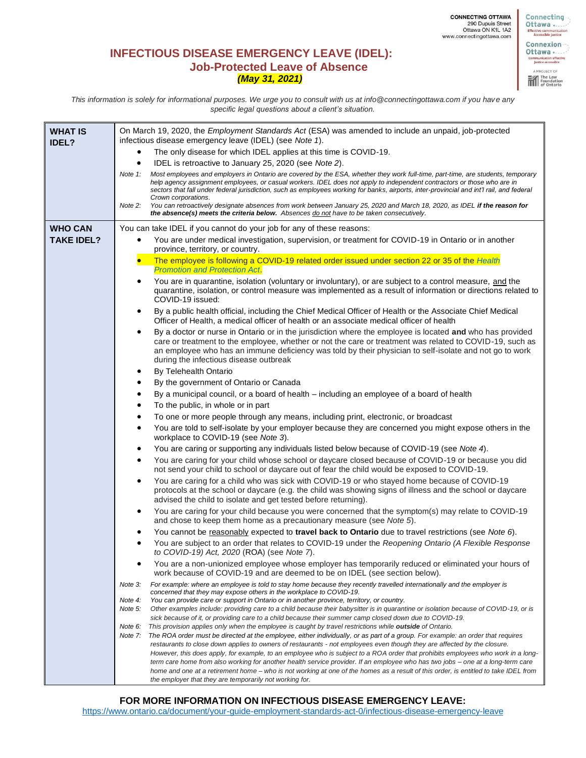Connecting

fective communi<br>Accessible just Connexion --Ottawa ... mmunication effective<br>Justice accessible A PROJECT OF The Law<br>Foundation<br>III of Ontario

**INFECTIOUS DISEASE EMERGENCY LEAVE (IDEL): Job-Protected Leave of Absence**  *(May 31, 2021)*

*This information is solely for informational purposes. We urge you to consult with us at info@connectingottawa.com if you have any specific legal questions about a client's situation.*

| <b>WHAT IS</b><br><b>IDEL?</b> | On March 19, 2020, the <i>Employment Standards Act</i> (ESA) was amended to include an unpaid, job-protected<br>infectious disease emergency leave (IDEL) (see Note 1).                                                                                                                                                                                                                                                                   |
|--------------------------------|-------------------------------------------------------------------------------------------------------------------------------------------------------------------------------------------------------------------------------------------------------------------------------------------------------------------------------------------------------------------------------------------------------------------------------------------|
|                                | The only disease for which IDEL applies at this time is COVID-19.                                                                                                                                                                                                                                                                                                                                                                         |
|                                | IDEL is retroactive to January 25, 2020 (see Note 2).<br>٠                                                                                                                                                                                                                                                                                                                                                                                |
|                                | Most employees and employers in Ontario are covered by the ESA, whether they work full-time, part-time, are students, temporary<br>Note 1:<br>help agency assignment employees, or casual workers. IDEL does not apply to independent contractors or those who are in<br>sectors that fall under federal jurisdiction, such as employees working for banks, airports, inter-provincial and int'l rail, and federal<br>Crown corporations. |
|                                | You can retroactively designate absences from work between January 25, 2020 and March 18, 2020, as IDEL if the reason for<br>Note 2:<br>the absence(s) meets the criteria below. Absences do not have to be taken consecutively.                                                                                                                                                                                                          |
| <b>WHO CAN</b>                 | You can take IDEL if you cannot do your job for any of these reasons:                                                                                                                                                                                                                                                                                                                                                                     |
| <b>TAKE IDEL?</b>              | You are under medical investigation, supervision, or treatment for COVID-19 in Ontario or in another<br>province, territory, or country.                                                                                                                                                                                                                                                                                                  |
|                                | The employee is following a COVID-19 related order issued under section 22 or 35 of the Health                                                                                                                                                                                                                                                                                                                                            |
|                                | <b>Promotion and Protection Act.</b>                                                                                                                                                                                                                                                                                                                                                                                                      |
|                                | You are in quarantine, isolation (voluntary or involuntary), or are subject to a control measure, and the<br>quarantine, isolation, or control measure was implemented as a result of information or directions related to<br>COVID-19 issued:                                                                                                                                                                                            |
|                                | By a public health official, including the Chief Medical Officer of Health or the Associate Chief Medical<br>Officer of Health, a medical officer of health or an associate medical officer of health                                                                                                                                                                                                                                     |
|                                | By a doctor or nurse in Ontario or in the jurisdiction where the employee is located and who has provided<br>٠<br>care or treatment to the employee, whether or not the care or treatment was related to COVID-19, such as<br>an employee who has an immune deficiency was told by their physician to self-isolate and not go to work<br>during the infectious disease outbreak                                                           |
|                                | By Telehealth Ontario                                                                                                                                                                                                                                                                                                                                                                                                                     |
|                                | By the government of Ontario or Canada<br>$\bullet$                                                                                                                                                                                                                                                                                                                                                                                       |
|                                | By a municipal council, or a board of health – including an employee of a board of health<br>$\bullet$                                                                                                                                                                                                                                                                                                                                    |
|                                | To the public, in whole or in part<br>$\bullet$                                                                                                                                                                                                                                                                                                                                                                                           |
|                                | To one or more people through any means, including print, electronic, or broadcast<br>$\bullet$                                                                                                                                                                                                                                                                                                                                           |
|                                | You are told to self-isolate by your employer because they are concerned you might expose others in the<br>٠<br>workplace to COVID-19 (see Note 3).                                                                                                                                                                                                                                                                                       |
|                                | You are caring or supporting any individuals listed below because of COVID-19 (see Note 4).<br>٠                                                                                                                                                                                                                                                                                                                                          |
|                                | You are caring for your child whose school or daycare closed because of COVID-19 or because you did<br>٠<br>not send your child to school or daycare out of fear the child would be exposed to COVID-19.                                                                                                                                                                                                                                  |
|                                | You are caring for a child who was sick with COVID-19 or who stayed home because of COVID-19<br>٠<br>protocols at the school or daycare (e.g. the child was showing signs of illness and the school or daycare<br>advised the child to isolate and get tested before returning).                                                                                                                                                          |
|                                | You are caring for your child because you were concerned that the symptom(s) may relate to COVID-19<br>and chose to keep them home as a precautionary measure (see Note 5).                                                                                                                                                                                                                                                               |
|                                | You cannot be reasonably expected to travel back to Ontario due to travel restrictions (see Note 6).                                                                                                                                                                                                                                                                                                                                      |
|                                | You are subject to an order that relates to COVID-19 under the Reopening Ontario (A Flexible Response<br>٠<br>to COVID-19) Act, 2020 (ROA) (see Note 7).                                                                                                                                                                                                                                                                                  |
|                                | You are a non-unionized employee whose employer has temporarily reduced or eliminated your hours of<br>work because of COVID-19 and are deemed to be on IDEL (see section below).                                                                                                                                                                                                                                                         |
|                                | For example: where an employee is told to stay home because they recently travelled internationally and the employer is<br>Note 3:<br>concerned that they may expose others in the workplace to COVID-19.                                                                                                                                                                                                                                 |
|                                | Note 4:<br>You can provide care or support in Ontario or in another province, territory, or country.                                                                                                                                                                                                                                                                                                                                      |
|                                | Other examples include: providing care to a child because their babysitter is in quarantine or isolation because of COVID-19, or is<br>Note 5:<br>sick because of it, or providing care to a child because their summer camp closed down due to COVID-19.                                                                                                                                                                                 |
|                                | This provision applies only when the employee is caught by travel restrictions while <b>outside</b> of Ontario.<br>Note 6:                                                                                                                                                                                                                                                                                                                |
|                                | Note 7:<br>The ROA order must be directed at the employee, either individually, or as part of a group. For example: an order that requires                                                                                                                                                                                                                                                                                                |
|                                | restaurants to close down applies to owners of restaurants - not employees even though they are affected by the closure.<br>However, this does apply, for example, to an employee who is subject to a ROA order that prohibits employees who work in a long-                                                                                                                                                                              |
|                                | term care home from also working for another health service provider. If an employee who has two jobs - one at a long-term care                                                                                                                                                                                                                                                                                                           |
|                                | home and one at a retirement home – who is not working at one of the homes as a result of this order, is entitled to take IDEL from                                                                                                                                                                                                                                                                                                       |
|                                | the employer that they are temporarily not working for.                                                                                                                                                                                                                                                                                                                                                                                   |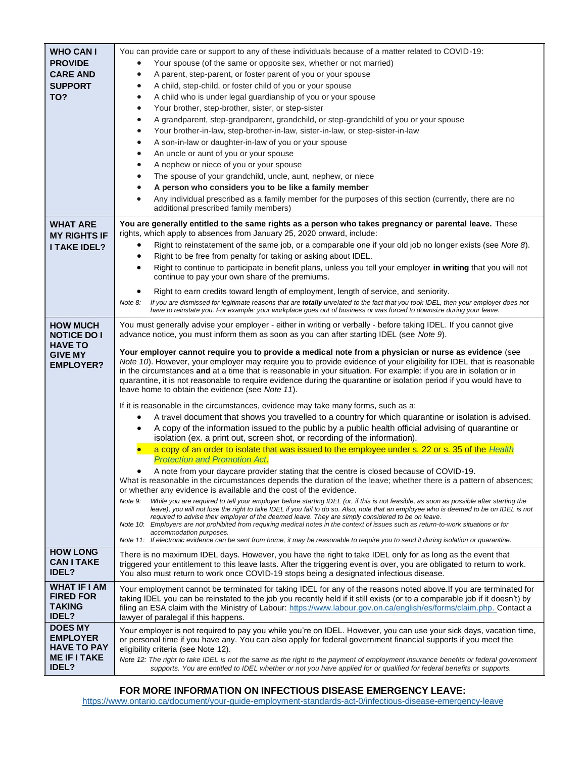| <b>WHO CAN I</b><br><b>PROVIDE</b><br><b>CARE AND</b><br><b>SUPPORT</b><br>TO?                | You can provide care or support to any of these individuals because of a matter related to COVID-19:<br>Your spouse (of the same or opposite sex, whether or not married)<br>A parent, step-parent, or foster parent of you or your spouse<br>A child, step-child, or foster child of you or your spouse<br>$\bullet$<br>A child who is under legal guardianship of you or your spouse<br>$\bullet$<br>Your brother, step-brother, sister, or step-sister<br>$\bullet$<br>A grandparent, step-grandparent, grandchild, or step-grandchild of you or your spouse<br>$\bullet$<br>Your brother-in-law, step-brother-in-law, sister-in-law, or step-sister-in-law<br>$\bullet$<br>A son-in-law or daughter-in-law of you or your spouse<br>An uncle or aunt of you or your spouse<br>$\bullet$<br>A nephew or niece of you or your spouse<br>$\bullet$<br>The spouse of your grandchild, uncle, aunt, nephew, or niece<br>A person who considers you to be like a family member<br>Any individual prescribed as a family member for the purposes of this section (currently, there are no<br>additional prescribed family members)                                                                                                                                                                                                                                                                                                                                                                     |
|-----------------------------------------------------------------------------------------------|-----------------------------------------------------------------------------------------------------------------------------------------------------------------------------------------------------------------------------------------------------------------------------------------------------------------------------------------------------------------------------------------------------------------------------------------------------------------------------------------------------------------------------------------------------------------------------------------------------------------------------------------------------------------------------------------------------------------------------------------------------------------------------------------------------------------------------------------------------------------------------------------------------------------------------------------------------------------------------------------------------------------------------------------------------------------------------------------------------------------------------------------------------------------------------------------------------------------------------------------------------------------------------------------------------------------------------------------------------------------------------------------------------------------------------------------------------------------------------------------------------|
| <b>WHAT ARE</b><br><b>MY RIGHTS IF</b><br><b>I TAKE IDEL?</b>                                 | You are generally entitled to the same rights as a person who takes pregnancy or parental leave. These<br>rights, which apply to absences from January 25, 2020 onward, include:<br>Right to reinstatement of the same job, or a comparable one if your old job no longer exists (see Note 8).<br>Right to be free from penalty for taking or asking about IDEL.<br>Right to continue to participate in benefit plans, unless you tell your employer in writing that you will not<br>continue to pay your own share of the premiums.<br>Right to earn credits toward length of employment, length of service, and seniority.<br>٠<br>If you are dismissed for legitimate reasons that are totally unrelated to the fact that you took IDEL, then your employer does not<br>Note 8:<br>have to reinstate you. For example: your workplace goes out of business or was forced to downsize during your leave.                                                                                                                                                                                                                                                                                                                                                                                                                                                                                                                                                                                          |
| <b>HOW MUCH</b><br><b>NOTICE DO I</b><br><b>HAVE TO</b><br><b>GIVE MY</b><br><b>EMPLOYER?</b> | You must generally advise your employer - either in writing or verbally - before taking IDEL. If you cannot give<br>advance notice, you must inform them as soon as you can after starting IDEL (see Note 9).<br>Your employer cannot require you to provide a medical note from a physician or nurse as evidence (see<br>Note 10). However, your employer may require you to provide evidence of your eligibility for IDEL that is reasonable<br>in the circumstances and at a time that is reasonable in your situation. For example: if you are in isolation or in<br>quarantine, it is not reasonable to require evidence during the quarantine or isolation period if you would have to<br>leave home to obtain the evidence (see Note 11).<br>If it is reasonable in the circumstances, evidence may take many forms, such as a:<br>A travel document that shows you travelled to a country for which quarantine or isolation is advised.<br>A copy of the information issued to the public by a public health official advising of quarantine or<br>isolation (ex. a print out, screen shot, or recording of the information).<br>a copy of an order to isolate that was issued to the employee under s. 22 or s. 35 of the Health<br><b>Protection and Promotion Act.</b><br>A note from your daycare provider stating that the centre is closed because of COVID-19.<br>What is reasonable in the circumstances depends the duration of the leave; whether there is a pattern of absences; |
|                                                                                               | or whether any evidence is available and the cost of the evidence.<br>While you are required to tell your employer before starting IDEL (or, if this is not feasible, as soon as possible after starting the<br>Note 9:<br>leave), you will not lose the right to take IDEL if you fail to do so. Also, note that an employee who is deemed to be on IDEL is not<br>required to advise their employer of the deemed leave. They are simply considered to be on leave.<br>Note 10: Employers are not prohibited from requiring medical notes in the context of issues such as return-to-work situations or for<br>accommodation purposes.<br>Note 11: If electronic evidence can be sent from home, it may be reasonable to require you to send it during isolation or quarantine.                                                                                                                                                                                                                                                                                                                                                                                                                                                                                                                                                                                                                                                                                                                   |
| <b>HOW LONG</b><br><b>CAN I TAKE</b><br><b>IDEL?</b>                                          | There is no maximum IDEL days. However, you have the right to take IDEL only for as long as the event that<br>triggered your entitlement to this leave lasts. After the triggering event is over, you are obligated to return to work.<br>You also must return to work once COVID-19 stops being a designated infectious disease.                                                                                                                                                                                                                                                                                                                                                                                                                                                                                                                                                                                                                                                                                                                                                                                                                                                                                                                                                                                                                                                                                                                                                                   |
| <b>WHAT IF I AM</b><br><b>FIRED FOR</b><br><b>TAKING</b><br><b>IDEL?</b>                      | Your employment cannot be terminated for taking IDEL for any of the reasons noted above. If you are terminated for<br>taking IDEL you can be reinstated to the job you recently held if it still exists (or to a comparable job if it doesn't) by<br>filing an ESA claim with the Ministry of Labour: https://www.labour.gov.on.ca/english/es/forms/claim.php. Contact a<br>lawyer of paralegal if this happens.                                                                                                                                                                                                                                                                                                                                                                                                                                                                                                                                                                                                                                                                                                                                                                                                                                                                                                                                                                                                                                                                                    |
| <b>DOES MY</b><br><b>EMPLOYER</b><br><b>HAVE TO PAY</b><br><b>ME IF I TAKE</b><br>IDEL?       | Your employer is not required to pay you while you're on IDEL. However, you can use your sick days, vacation time,<br>or personal time if you have any. You can also apply for federal government financial supports if you meet the<br>eligibility criteria (see Note 12).<br>Note 12: The right to take IDEL is not the same as the right to the payment of employment insurance benefits or federal government<br>supports. You are entitled to IDEL whether or not you have applied for or qualified for federal benefits or supports.                                                                                                                                                                                                                                                                                                                                                                                                                                                                                                                                                                                                                                                                                                                                                                                                                                                                                                                                                          |

## **FOR MORE INFORMATION ON INFECTIOUS DISEASE EMERGENCY LEAVE:**

<https://www.ontario.ca/document/your-guide-employment-standards-act-0/infectious-disease-emergency-leave>